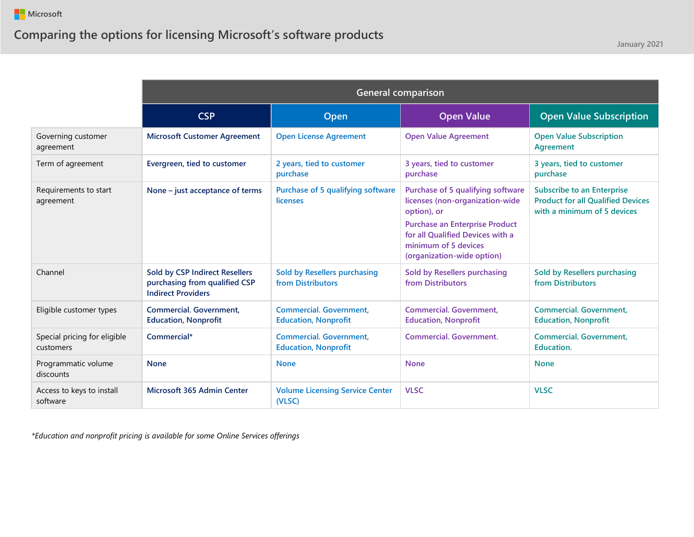|                                           | <b>General comparison</b>                                                                           |                                                               |                                                                                                                                                                                                                        |                                                                                                              |
|-------------------------------------------|-----------------------------------------------------------------------------------------------------|---------------------------------------------------------------|------------------------------------------------------------------------------------------------------------------------------------------------------------------------------------------------------------------------|--------------------------------------------------------------------------------------------------------------|
|                                           | <b>CSP</b>                                                                                          | Open                                                          | <b>Open Value</b>                                                                                                                                                                                                      | <b>Open Value Subscription</b>                                                                               |
| Governing customer<br>agreement           | <b>Microsoft Customer Agreement</b>                                                                 | <b>Open License Agreement</b>                                 | <b>Open Value Agreement</b>                                                                                                                                                                                            | <b>Open Value Subscription</b><br>Agreement                                                                  |
| Term of agreement                         | Evergreen, tied to customer                                                                         | 2 years, tied to customer<br>purchase                         | 3 years, tied to customer<br>purchase                                                                                                                                                                                  | 3 years, tied to customer<br>purchase                                                                        |
| Requirements to start<br>agreement        | None - just acceptance of terms                                                                     | <b>Purchase of 5 qualifying software</b><br><b>licenses</b>   | Purchase of 5 qualifying software<br>licenses (non-organization-wide<br>option), or<br><b>Purchase an Enterprise Product</b><br>for all Qualified Devices with a<br>minimum of 5 devices<br>(organization-wide option) | <b>Subscribe to an Enterprise</b><br><b>Product for all Qualified Devices</b><br>with a minimum of 5 devices |
| Channel                                   | <b>Sold by CSP Indirect Resellers</b><br>purchasing from qualified CSP<br><b>Indirect Providers</b> | Sold by Resellers purchasing<br>from Distributors             | Sold by Resellers purchasing<br>from Distributors                                                                                                                                                                      | Sold by Resellers purchasing<br>from Distributors                                                            |
| Eligible customer types                   | <b>Commercial, Government.</b><br><b>Education, Nonprofit</b>                                       | <b>Commercial, Government.</b><br><b>Education, Nonprofit</b> | <b>Commercial. Government,</b><br><b>Education, Nonprofit</b>                                                                                                                                                          | <b>Commercial. Government,</b><br><b>Education, Nonprofit</b>                                                |
| Special pricing for eligible<br>customers | Commercial*                                                                                         | <b>Commercial. Government,</b><br><b>Education, Nonprofit</b> | <b>Commercial, Government.</b>                                                                                                                                                                                         | <b>Commercial. Government,</b><br>Education.                                                                 |
| Programmatic volume<br>discounts          | <b>None</b>                                                                                         | <b>None</b>                                                   | <b>None</b>                                                                                                                                                                                                            | <b>None</b>                                                                                                  |
| Access to keys to install<br>software     | Microsoft 365 Admin Center                                                                          | <b>Volume Licensing Service Center</b><br>(VLSC)              | <b>VLSC</b>                                                                                                                                                                                                            | <b>VLSC</b>                                                                                                  |

*\*Education and nonprofit pricing is available for some Online Services offerings*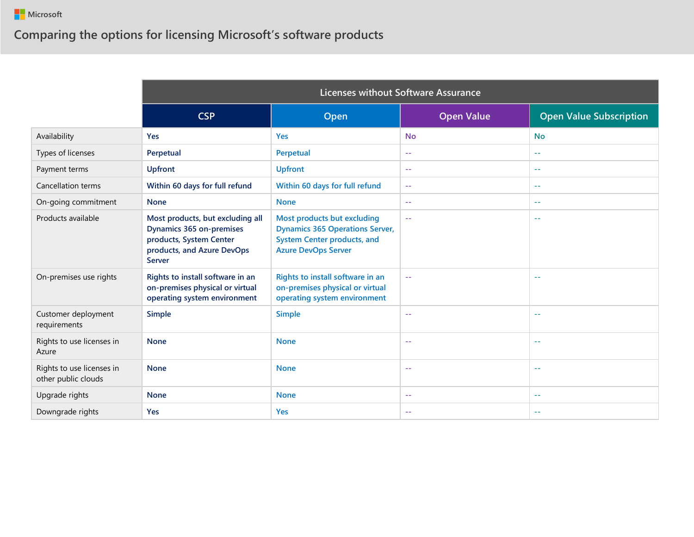|                                                  | Licenses without Software Assurance                                                                                                           |                                                                                                                                           |                   |                                |
|--------------------------------------------------|-----------------------------------------------------------------------------------------------------------------------------------------------|-------------------------------------------------------------------------------------------------------------------------------------------|-------------------|--------------------------------|
|                                                  | <b>CSP</b>                                                                                                                                    | Open                                                                                                                                      | <b>Open Value</b> | <b>Open Value Subscription</b> |
| Availability                                     | <b>Yes</b>                                                                                                                                    | <b>Yes</b>                                                                                                                                | <b>No</b>         | <b>No</b>                      |
| Types of licenses                                | Perpetual                                                                                                                                     | Perpetual                                                                                                                                 | $\sim$ $-$        | $\sim$ $\sim$                  |
| Payment terms                                    | <b>Upfront</b>                                                                                                                                | <b>Upfront</b>                                                                                                                            | $\sim$ $-$        | $\sim$ $\sim$                  |
| <b>Cancellation terms</b>                        | Within 60 days for full refund                                                                                                                | Within 60 days for full refund                                                                                                            | $\sim$ $\sim$     | $\sim$ $\sim$                  |
| On-going commitment                              | <b>None</b>                                                                                                                                   | <b>None</b>                                                                                                                               | $\sim$ $-$        | $\sim$ $-$                     |
| Products available                               | Most products, but excluding all<br><b>Dynamics 365 on-premises</b><br>products, System Center<br>products, and Azure DevOps<br><b>Server</b> | Most products but excluding<br><b>Dynamics 365 Operations Server,</b><br><b>System Center products, and</b><br><b>Azure DevOps Server</b> | $\sim$ $\sim$     | $\sim$ $-$                     |
| On-premises use rights                           | Rights to install software in an<br>on-premises physical or virtual<br>operating system environment                                           | Rights to install software in an<br>on-premises physical or virtual<br>operating system environment                                       | $\sim$ $-$        | $\sim$ $-$                     |
| Customer deployment<br>requirements              | <b>Simple</b>                                                                                                                                 | <b>Simple</b>                                                                                                                             | $\sim$ $-$        | $\sim$ $-$                     |
| Rights to use licenses in<br>Azure               | <b>None</b>                                                                                                                                   | <b>None</b>                                                                                                                               | $\sim$ $-$        | $\sim$ $-$                     |
| Rights to use licenses in<br>other public clouds | <b>None</b>                                                                                                                                   | <b>None</b>                                                                                                                               | $\sim$ $-$        | $\sim$ $-$                     |
| Upgrade rights                                   | <b>None</b>                                                                                                                                   | <b>None</b>                                                                                                                               | $\sim$ $-$        | $\sim$ $-$                     |
| Downgrade rights                                 | <b>Yes</b>                                                                                                                                    | <b>Yes</b>                                                                                                                                | $\sim$ $-$        | $\sim$ $-$                     |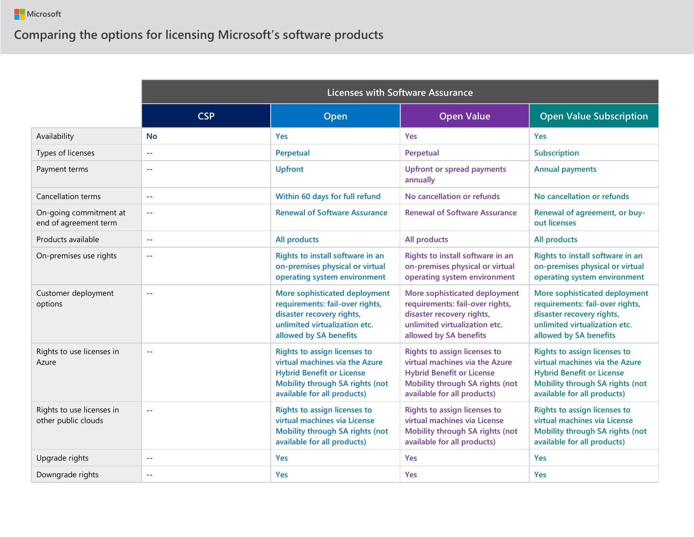|                                                  | <b>Licenses with Software Assurance</b> |                                                                                                                                                                      |                                                                                                                                                                      |                                                                                                                                                                             |
|--------------------------------------------------|-----------------------------------------|----------------------------------------------------------------------------------------------------------------------------------------------------------------------|----------------------------------------------------------------------------------------------------------------------------------------------------------------------|-----------------------------------------------------------------------------------------------------------------------------------------------------------------------------|
|                                                  | <b>CSP</b>                              | Open                                                                                                                                                                 | <b>Open Value</b>                                                                                                                                                    | <b>Open Value Subscription</b>                                                                                                                                              |
| Availability                                     | <b>No</b>                               | <b>Yes</b>                                                                                                                                                           | Yes                                                                                                                                                                  | Yes                                                                                                                                                                         |
| Types of licenses                                | $\sim$ $\sim$                           | Perpetual                                                                                                                                                            | Perpetual                                                                                                                                                            | Subscription                                                                                                                                                                |
| Payment terms                                    | $\sim$ $\sim$                           | <b>Upfront</b>                                                                                                                                                       | <b>Upfront or spread payments</b><br>annually                                                                                                                        | <b>Annual payments</b>                                                                                                                                                      |
| <b>Cancellation terms</b>                        | $\sim$ $\sim$                           | Within 60 days for full refund                                                                                                                                       | No cancellation or refunds                                                                                                                                           | No cancellation or refunds                                                                                                                                                  |
| On-going commitment at<br>end of agreement term  | $\sim$ $\sim$                           | <b>Renewal of Software Assurance</b>                                                                                                                                 | <b>Renewal of Software Assurance</b>                                                                                                                                 | Renewal of agreement, or buy-<br>out licenses                                                                                                                               |
| Products available                               | $\sim$ $\sim$                           | <b>All products</b>                                                                                                                                                  | <b>All products</b>                                                                                                                                                  | <b>All products</b>                                                                                                                                                         |
| On-premises use rights                           | $\sim$ $\sim$                           | Rights to install software in an<br>on-premises physical or virtual<br>operating system environment                                                                  | Rights to install software in an<br>on-premises physical or virtual<br>operating system environment                                                                  | Rights to install software in an<br>on-premises physical or virtual<br>operating system environment                                                                         |
| Customer deployment<br>options                   | $\sim$ $\sim$                           | More sophisticated deployment<br>requirements: fail-over rights,<br>disaster recovery rights,<br>unlimited virtualization etc.<br>allowed by SA benefits             | More sophisticated deployment<br>requirements: fail-over rights,<br>disaster recovery rights,<br>unlimited virtualization etc.<br>allowed by SA benefits             | More sophisticated deployment<br>requirements: fail-over rights,<br>disaster recovery rights,<br>unlimited virtualization etc.<br>allowed by SA benefits                    |
| Rights to use licenses in<br>Azure               | $\sim$ $\sim$                           | Rights to assign licenses to<br>virtual machines via the Azure<br><b>Hybrid Benefit or License</b><br>Mobility through SA rights (not<br>available for all products) | Rights to assign licenses to<br>virtual machines via the Azure<br><b>Hybrid Benefit or License</b><br>Mobility through SA rights (not<br>available for all products) | Rights to assign licenses to<br>virtual machines via the Azure<br><b>Hybrid Benefit or License</b><br><b>Mobility through SA rights (not</b><br>available for all products) |
| Rights to use licenses in<br>other public clouds | $\sim$ $\sim$                           | <b>Rights to assign licenses to</b><br>virtual machines via License<br><b>Mobility through SA rights (not</b><br>available for all products)                         | Rights to assign licenses to<br>virtual machines via License<br>Mobility through SA rights (not<br>available for all products)                                       | <b>Rights to assign licenses to</b><br>virtual machines via License<br>Mobility through SA rights (not<br>available for all products)                                       |
| Upgrade rights                                   | $\sim$ $\sim$                           | <b>Yes</b>                                                                                                                                                           | Yes                                                                                                                                                                  | Yes                                                                                                                                                                         |
| Downgrade rights                                 | $\sim$ $\sim$                           | <b>Yes</b>                                                                                                                                                           | Yes                                                                                                                                                                  | <b>Yes</b>                                                                                                                                                                  |